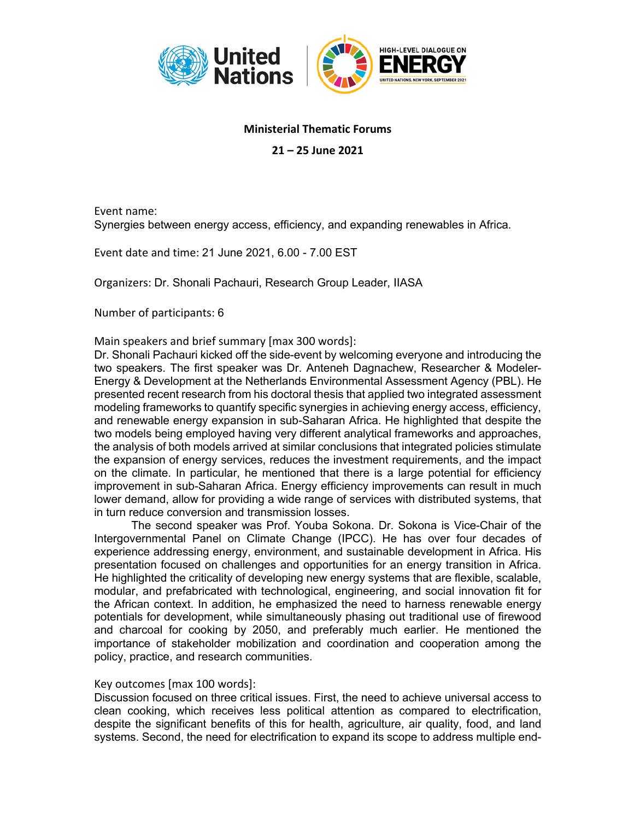

## **Ministerial Thematic Forums**

**21 – 25 June 2021**

Event name: Synergies between energy access, efficiency, and expanding renewables in Africa.

Event date and time: 21 June 2021, 6.00 - 7.00 EST

Organizers: Dr. Shonali Pachauri, Research Group Leader, IIASA

Number of participants: 6

Main speakers and brief summary [max 300 words]:

Dr. Shonali Pachauri kicked off the side-event by welcoming everyone and introducing the two speakers. The first speaker was Dr. Anteneh Dagnachew, Researcher & Modeler-Energy & Development at the Netherlands Environmental Assessment Agency (PBL). He presented recent research from his doctoral thesis that applied two integrated assessment modeling frameworks to quantify specific synergies in achieving energy access, efficiency, and renewable energy expansion in sub-Saharan Africa. He highlighted that despite the two models being employed having very different analytical frameworks and approaches, the analysis of both models arrived at similar conclusions that integrated policies stimulate the expansion of energy services, reduces the investment requirements, and the impact on the climate. In particular, he mentioned that there is a large potential for efficiency improvement in sub-Saharan Africa. Energy efficiency improvements can result in much lower demand, allow for providing a wide range of services with distributed systems, that in turn reduce conversion and transmission losses.

The second speaker was Prof. Youba Sokona. Dr. Sokona is Vice-Chair of the Intergovernmental Panel on Climate Change (IPCC). He has over four decades of experience addressing energy, environment, and sustainable development in Africa. His presentation focused on challenges and opportunities for an energy transition in Africa. He highlighted the criticality of developing new energy systems that are flexible, scalable, modular, and prefabricated with technological, engineering, and social innovation fit for the African context. In addition, he emphasized the need to harness renewable energy potentials for development, while simultaneously phasing out traditional use of firewood and charcoal for cooking by 2050, and preferably much earlier. He mentioned the importance of stakeholder mobilization and coordination and cooperation among the policy, practice, and research communities.

## Key outcomes [max 100 words]:

Discussion focused on three critical issues. First, the need to achieve universal access to clean cooking, which receives less political attention as compared to electrification, despite the significant benefits of this for health, agriculture, air quality, food, and land systems. Second, the need for electrification to expand its scope to address multiple end